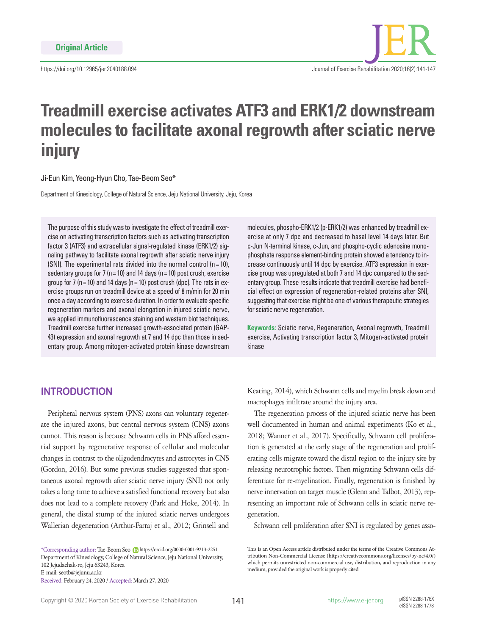https://doi.org/10.12965/jer.2040188.094

# **Treadmill exercise activates ATF3 and ERK1/2 downstream molecules to facilitate axonal regrowth after sciatic nerve injury**

#### Ji-Eun Kim, Yeong-Hyun Cho, Tae-Beom Seo\*

Department of Kinesiology, College of Natural Science, Jeju National University, Jeju, Korea

The purpose of this study was to investigate the effect of treadmill exercise on activating transcription factors such as activating transcription factor 3 (ATF3) and extracellular signal-regulated kinase (ERK1/2) signaling pathway to facilitate axonal regrowth after sciatic nerve injury (SNI). The experimental rats divided into the normal control ( $n = 10$ ), sedentary groups for 7 ( $n = 10$ ) and 14 days ( $n = 10$ ) post crush, exercise group for 7 (n = 10) and 14 days (n = 10) post crush (dpc). The rats in exercise groups run on treadmill device at a speed of 8 m/min for 20 min once a day according to exercise duration. In order to evaluate specific regeneration markers and axonal elongation in injured sciatic nerve, we applied immunofluorescence staining and western blot techniques. Treadmill exercise further increased growth-associated protein (GAP-43) expression and axonal regrowth at 7 and 14 dpc than those in sedentary group. Among mitogen-activated protein kinase downstream

molecules, phospho-ERK1/2 (p-ERK1/2) was enhanced by treadmill exercise at only 7 dpc and decreased to basal level 14 days later. But c-Jun N-terminal kinase, c-Jun, and phospho-cyclic adenosine monophosphate response element-binding protein showed a tendency to increase continuously until 14 dpc by exercise. ATF3 expression in exercise group was upregulated at both 7 and 14 dpc compared to the sedentary group. These results indicate that treadmill exercise had beneficial effect on expression of regeneration-related proteins after SNI, suggesting that exercise might be one of various therapeutic strategies for sciatic nerve regeneration.

**Keywords:** Sciatic nerve, Regeneration, Axonal regrowth, Treadmill exercise, Activating transcription factor 3, Mitogen-activated protein kinase

# **INTRODUCTION**

Peripheral nervous system (PNS) axons can voluntary regenerate the injured axons, but central nervous system (CNS) axons cannot. This reason is because Schwann cells in PNS afford essential support by regenerative response of cellular and molecular changes in contrast to the oligodendrocytes and astrocytes in CNS (Gordon, 2016). But some previous studies suggested that spontaneous axonal regrowth after sciatic nerve injury (SNI) not only takes a long time to achieve a satisfied functional recovery but also does not lead to a complete recovery (Park and Hoke, 2014). In general, the distal stump of the injured sciatic nerves undergoes Wallerian degeneration (Arthur-Farraj et al., 2012; Grinsell and

\*Corresponding author: Tae-Beom Seo https://orcid.org/0000-0001-9213-2251 Department of Kinesiology, College of Natural Science, Jeju National University, 102 Jejudaehak-ro, Jeju 63243, Korea E-mail: seotb@jejunu.ac.kr Received: February 24, 2020 / Accepted: March 27, 2020

Keating, 2014), which Schwann cells and myelin break down and macrophages infiltrate around the injury area.

The regeneration process of the injured sciatic nerve has been well documented in human and animal experiments (Ko et al., 2018; Wanner et al., 2017). Specifically, Schwann cell proliferation is generated at the early stage of the regeneration and proliferating cells migrate toward the distal region to the injury site by releasing neurotrophic factors. Then migrating Schwann cells differentiate for re-myelination. Finally, regeneration is finished by nerve innervation on target muscle (Glenn and Talbot, 2013), representing an important role of Schwann cells in sciatic nerve regeneration.

Schwann cell proliferation after SNI is regulated by genes asso-

This is an Open Access article distributed under the terms of the Creative Commons Attribution Non-Commercial License (https://creativecommons.org/licenses/by-nc/4.0/) which permits unrestricted non-commercial use, distribution, and reproduction in any medium, provided the original work is properly cited.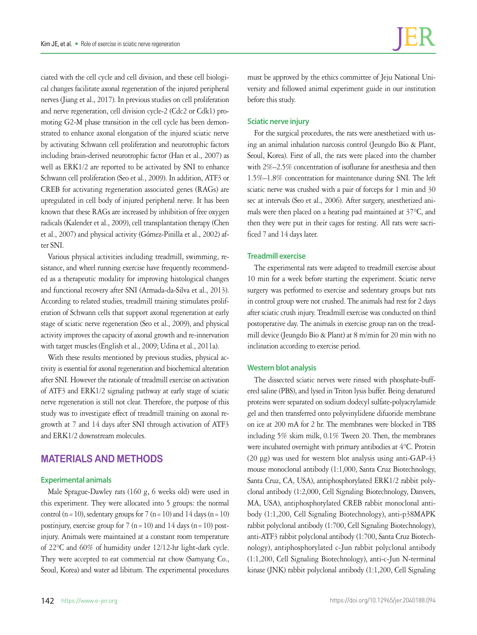ciated with the cell cycle and cell division, and these cell biological changes facilitate axonal regeneration of the injured peripheral nerves (Jiang et al., 2017). In previous studies on cell proliferation and nerve regeneration, cell division cycle-2 (Cdc2 or Cdk1) promoting G2-M phase transition in the cell cycle has been demonstrated to enhance axonal elongation of the injured sciatic nerve by activating Schwann cell proliferation and neurotrophic factors including brain-derived neurotrophic factor (Han et al., 2007) as well as ERK1/2 are reported to be activated by SNI to enhance Schwann cell proliferation (Seo et al., 2009). In addition, ATF3 or CREB for activating regeneration associated genes (RAGs) are upregulated in cell body of injured peripheral nerve. It has been known that these RAGs are increased by inhibition of free oxygen radicals (Kalender et al., 2009), cell transplantation therapy (Chen et al., 2007) and physical activity (Gómez-Pinilla et al., 2002) after SNI.

Various physical activities including treadmill, swimming, resistance, and wheel running exercise have frequently recommended as a therapeutic modality for improving histological changes and functional recovery after SNI (Armada-da-Silva et al., 2013). According to related studies, treadmill training stimulates proliferation of Schwann cells that support axonal regeneration at early stage of sciatic nerve regeneration (Seo et al., 2009), and physical activity improves the capacity of axonal growth and re-innervation with target muscles (English et al., 2009; Udina et al., 2011a).

With these results mentioned by previous studies, physical activity is essential for axonal regeneration and biochemical alteration after SNI. However the rationale of treadmill exercise on activation of ATF3 and ERK1/2 signaling pathway at early stage of sciatic nerve regeneration is still not clear. Therefore, the purpose of this study was to investigate effect of treadmill training on axonal regrowth at 7 and 14 days after SNI through activation of ATF3 and ERK1/2 downstream molecules.

# **MATERIALS AND METHODS**

#### **Experimental animals**

Male Sprague-Dawley rats (160 g, 6 weeks old) were used in this experiment. They were allocated into 5 groups: the normal control (n = 10), sedentary groups for 7 (n = 10) and 14 days (n = 10) postinjury, exercise group for 7 ( $n=10$ ) and 14 days ( $n=10$ ) postinjury. Animals were maintained at a constant room temperature of 22°C and 60% of humidity under 12/12-hr light-dark cycle. They were accepted to eat commercial rat chow (Samyang Co., Seoul, Korea) and water ad libitum. The experimental procedures

must be approved by the ethics committee of Jeju National University and followed animal experiment guide in our institution before this study.

#### **Sciatic nerve injury**

For the surgical procedures, the rats were anesthetized with using an animal inhalation narcosis control (Jeungdo Bio & Plant, Seoul, Korea). First of all, the rats were placed into the chamber with 2%–2.5% concentration of isoflurane for anesthesia and then 1.5%–1.8% concentration for maintenance during SNI. The left sciatic nerve was crushed with a pair of forceps for 1 min and 30 sec at intervals (Seo et al., 2006). After surgery, anesthetized animals were then placed on a heating pad maintained at 37°C, and then they were put in their cages for resting. All rats were sacrificed 7 and 14 days later.

#### **Treadmill exercise**

The experimental rats were adapted to treadmill exercise about 10 min for a week before starting the experiment. Sciatic nerve surgery was performed to exercise and sedentary groups but rats in control group were not crushed. The animals had rest for 2 days after sciatic crush injury. Treadmill exercise was conducted on third postoperative day. The animals in exercise group ran on the treadmill device (Jeungdo Bio & Plant) at 8 m/min for 20 min with no inclination according to exercise period.

#### **Western blot analysis**

The dissected sciatic nerves were rinsed with phosphate-buffered saline (PBS), and lysed in Triton lysis buffer. Being denatured proteins were separated on sodium dodecyl sulfate-polyacrylamide gel and then transferred onto polyvinylidene difuoride membrane on ice at 200 mA for 2 hr. The membranes were blocked in TBS including 5% skim milk, 0.1% Tween 20. Then, the membranes were incubated overnight with primary antibodies at 4°C. Protein (20 μg) was used for western blot analysis using anti-GAP-43 mouse monoclonal antibody (1:1,000, Santa Cruz Biotechnology, Santa Cruz, CA, USA), antiphosphorylated ERK1/2 rabbit polyclonal antibody (1:2,000, Cell Signaling Biotechnology, Danvers, MA, USA), antiphosphorylated CREB rabbit monoclonal antibody (1:1,200, Cell Signaling Biotechnology), anti-p38MAPK rabbit polyclonal antibody (1:700, Cell Signaling Biotechnology), anti-ATF3 rabbit polyclonal antibody (1:700, Santa Cruz Biotechnology), antiphosphorylated c-Jun rabbit polyclonal antibody (1:1,200, Cell Signaling Biotechnology), anti-c-Jun N-terminal kinase (JNK) rabbit polyclonal antibody (1:1,200, Cell Signaling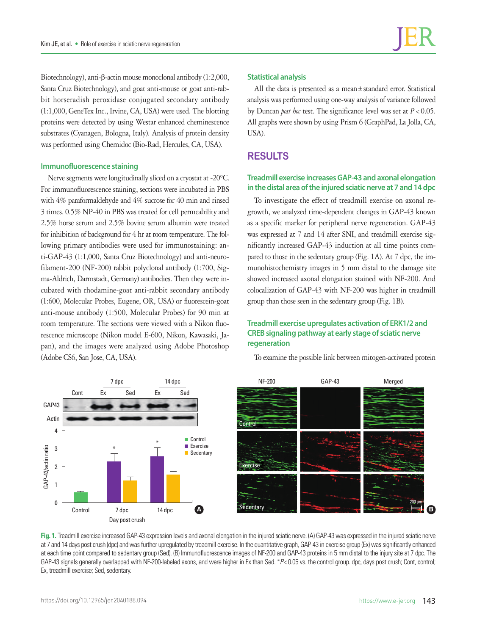Biotechnology), anti-β-actin mouse monoclonal antibody (1:2,000, Santa Cruz Biotechnology), and goat anti-mouse or goat anti-rabbit horseradish peroxidase conjugated secondary antibody (1:1,000, GeneTex Inc., Irvine, CA, USA) were used. The blotting proteins were detected by using Westar enhanced cheminescence substrates (Cyanagen, Bologna, Italy). Analysis of protein density was performed using Chemidoc (Bio-Rad, Hercules, CA, USA).

## **Immunofluorescence staining**

Nerve segments were longitudinally sliced on a cryostat at -20°C. For immunofluorescence staining, sections were incubated in PBS with 4% paraformaldehyde and 4% sucrose for 40 min and rinsed 3 times. 0.5% NP-40 in PBS was treated for cell permeability and 2.5% horse serum and 2.5% bovine serum albumin were treated for inhibition of background for 4 hr at room temperature. The following primary antibodies were used for immunostaining: anti-GAP-43 (1:1,000, Santa Cruz Biotechnology) and anti-neurofilament-200 (NF-200) rabbit polyclonal antibody (1:700, Sigma-Aldrich, Darmstadt, Germany) antibodies. Then they were incubated with rhodamine-goat anti-rabbit secondary antibody (1:600, Molecular Probes, Eugene, OR, USA) or fluorescein-goat anti-mouse antibody (1:500, Molecular Probes) for 90 min at room temperature. The sections were viewed with a Nikon fluorescence microscope (Nikon model E-600, Nikon, Kawasaki, Japan), and the images were analyzed using Adobe Photoshop (Adobe CS6, San Jose, CA, USA).

## **Statistical analysis**

All the data is presented as a mean±standard error. Statistical analysis was performed using one-way analysis of variance followed by Duncan *post hoc* test. The significance level was set at  $P < 0.05$ . All graphs were shown by using Prism 6 (GraphPad, La Jolla, CA, USA).

## **RESULTS**

## **Treadmill exercise increases GAP-43 and axonal elongation in the distal area of the injured sciatic nerve at 7 and 14 dpc**

To investigate the effect of treadmill exercise on axonal regrowth, we analyzed time-dependent changes in GAP-43 known as a specific marker for peripheral nerve regeneration. GAP-43 was expressed at 7 and 14 after SNI, and treadmill exercise significantly increased GAP-43 induction at all time points compared to those in the sedentary group (Fig. 1A). At 7 dpc, the immunohistochemistry images in 5 mm distal to the damage site showed increased axonal elongation stained with NF-200. And colocalization of GAP-43 with NF-200 was higher in treadmill group than those seen in the sedentary group (Fig. 1B).

## **Treadmill exercise upregulates activation of ERK1/2 and CREB signaling pathway at early stage of sciatic nerve regeneration**



To examine the possible link between mitogen-activated protein

Fig. 1. Treadmill exercise increased GAP-43 expression levels and axonal elongation in the injured sciatic nerve. (A) GAP-43 was expressed in the injured sciatic nerve at 7 and 14 days post crush (dpc) and was further upregulated by treadmill exercise. In the quantitative graph, GAP-43 in exercise group (Ex) was significantly enhanced at each time point compared to sedentary group (Sed). (B) Immunofluorescence images of NF-200 and GAP-43 proteins in 5 mm distal to the injury site at 7 dpc. The GAP-43 signals generally overlapped with NF-200-labeled axons, and were higher in Ex than Sed. \**P*< 0.05 vs. the control group. dpc, days post crush; Cont, control; Ex, treadmill exercise; Sed, sedentary.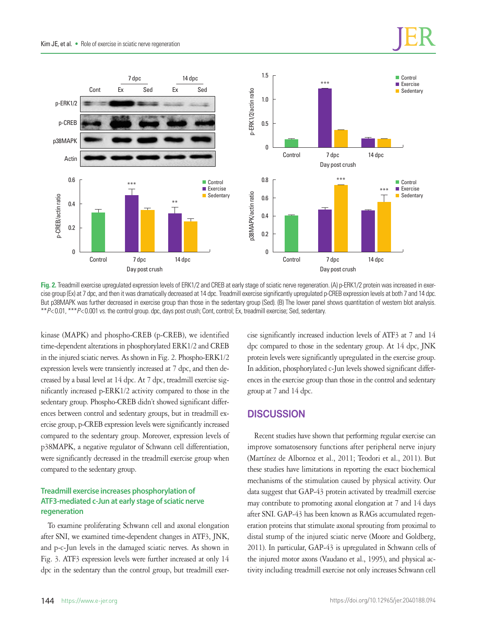



**Fig. 2.** Treadmill exercise upregulated expression levels of ERK1/2 and CREB at early stage of sciatic nerve regeneration. (A) p-ERK1/2 protein was increased in exercise group (Ex) at 7 dpc, and then it was dramatically decreased at 14 dpc. Treadmill exercise significantly upregulated p-CREB expression levels at both 7 and 14 dpc. But p38MAPK was further decreased in exercise group than those in the sedentary group (Sed). (B) The lower panel shows quantitation of western blot analysis. \*\**P*< 0.01, \*\*\**P*< 0.001 vs. the control group. dpc, days post crush; Cont, control; Ex, treadmill exercise; Sed, sedentary.

kinase (MAPK) and phospho-CREB (p-CREB), we identified time-dependent alterations in phosphorylated ERK1/2 and CREB in the injured sciatic nerves. As shown in Fig. 2. Phospho-ERK1/2 expression levels were transiently increased at 7 dpc, and then decreased by a basal level at 14 dpc. At 7 dpc, treadmill exercise significantly increased p-ERK1/2 activity compared to those in the sedentary group. Phospho-CREB didn't showed significant differences between control and sedentary groups, but in treadmill exercise group, p-CREB expression levels were significantly increased compared to the sedentary group. Moreover, expression levels of p38MAPK, a negative regulator of Schwann cell differentiation, were significantly decreased in the treadmill exercise group when compared to the sedentary group.

## **Treadmill exercise increases phosphorylation of ATF3-mediated c-Jun at early stage of sciatic nerve regeneration**

To examine proliferating Schwann cell and axonal elongation after SNI, we examined time-dependent changes in ATF3, JNK, and p-c-Jun levels in the damaged sciatic nerves. As shown in Fig. 3. ATF3 expression levels were further increased at only 14 dpc in the sedentary than the control group, but treadmill exercise significantly increased induction levels of ATF3 at 7 and 14 dpc compared to those in the sedentary group. At 14 dpc, JNK protein levels were significantly upregulated in the exercise group. In addition, phosphorylated c-Jun levels showed significant differences in the exercise group than those in the control and sedentary group at 7 and 14 dpc.

# **DISCUSSION**

Recent studies have shown that performing regular exercise can improve somatosensory functions after peripheral nerve injury (Martínez de Albornoz et al., 2011; Teodori et al., 2011). But these studies have limitations in reporting the exact biochemical mechanisms of the stimulation caused by physical activity. Our data suggest that GAP-43 protein activated by treadmill exercise may contribute to promoting axonal elongation at 7 and 14 days after SNI. GAP-43 has been known as RAGs accumulated regeneration proteins that stimulate axonal sprouting from proximal to distal stump of the injured sciatic nerve (Moore and Goldberg, 2011). In particular, GAP-43 is upregulated in Schwann cells of the injured motor axons (Vaudano et al., 1995), and physical activity including treadmill exercise not only increases Schwann cell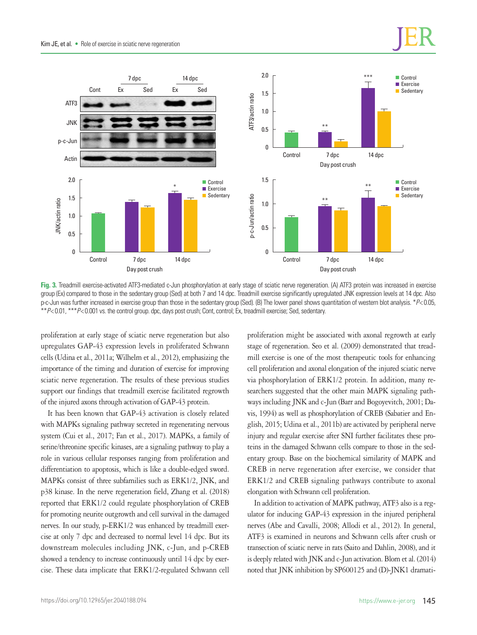



**Fig. 3.** Treadmill exercise-activated ATF3-mediated c-Jun phosphorylation at early stage of sciatic nerve regeneration. (A) ATF3 protein was increased in exercise group (Ex) compared to those in the sedentary group (Sed) at both 7 and 14 dpc. Treadmill exercise significantly upregulated JNK expression levels at 14 dpc. Also p-c-Jun was further increased in exercise group than those in the sedentary group (Sed). (B) The lower panel shows quantitation of western blot analysis. \**P*< 0.05, \*\**P*< 0.01, \*\*\**P*< 0.001 vs. the control group. dpc, days post crush; Cont, control; Ex, treadmill exercise; Sed, sedentary.

proliferation at early stage of sciatic nerve regeneration but also upregulates GAP-43 expression levels in proliferated Schwann cells (Udina et al., 2011a; Wilhelm et al., 2012), emphasizing the importance of the timing and duration of exercise for improving sciatic nerve regeneration. The results of these previous studies support our findings that treadmill exercise facilitated regrowth of the injured axons through activation of GAP-43 protein.

It has been known that GAP-43 activation is closely related with MAPKs signaling pathway secreted in regenerating nervous system (Cui et al., 2017; Fan et al., 2017). MAPKs, a family of serine/threonine specific kinases, are a signaling pathway to play a role in various cellular responses ranging from proliferation and differentiation to apoptosis, which is like a double-edged sword. MAPKs consist of three subfamilies such as ERK1/2, JNK, and p38 kinase. In the nerve regeneration field, Zhang et al. (2018) reported that ERK1/2 could regulate phosphorylation of CREB for promoting neurite outgrowth and cell survival in the damaged nerves. In our study, p-ERK1/2 was enhanced by treadmill exercise at only 7 dpc and decreased to normal level 14 dpc. But its downstream molecules including JNK, c-Jun, and p-CREB showed a tendency to increase continuously until 14 dpc by exercise. These data implicate that ERK1/2-regulated Schwann cell proliferation might be associated with axonal regrowth at early stage of regeneration. Seo et al. (2009) demonstrated that treadmill exercise is one of the most therapeutic tools for enhancing cell proliferation and axonal elongation of the injured sciatic nerve via phosphorylation of ERK1/2 protein. In addition, many researchers suggested that the other main MAPK signaling pathways including JNK and c-Jun (Barr and Bogoyevitch, 2001; Davis, 1994) as well as phosphorylation of CREB (Sabatier and English, 2015; Udina et al., 2011b) are activated by peripheral nerve injury and regular exercise after SNI further facilitates these proteins in the damaged Schwann cells compare to those in the sedentary group. Base on the biochemical similarity of MAPK and CREB in nerve regeneration after exercise, we consider that ERK1/2 and CREB signaling pathways contribute to axonal elongation with Schwann cell proliferation.

In addition to activation of MAPK pathway, ATF3 also is a regulator for inducing GAP-43 expression in the injured peripheral nerves (Abe and Cavalli, 2008; Allodi et al., 2012). In general, ATF3 is examined in neurons and Schwann cells after crush or transection of sciatic nerve in rats (Saito and Dahlin, 2008), and it is deeply related with JNK and c-Jun activation. Blom et al. (2014) noted that JNK inhibition by SP600125 and (D)-JNK1 dramati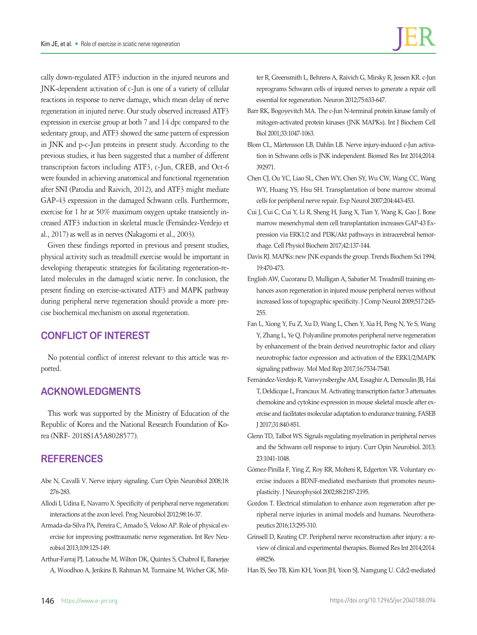cally down-regulated ATF3 induction in the injured neurons and JNK-dependent activation of c-Jun is one of a variety of cellular reactions in response to nerve damage, which mean delay of nerve regeneration in injured nerve. Our study observed increased ATF3 expression in exercise group at both 7 and 14 dpc compared to the sedentary group, and ATF3 showed the same pattern of expression in JNK and p-c-Jun proteins in present study. According to the previous studies, it has been suggested that a number of different transcription factors including ATF3, c-Jun, CREB, and Oct-6 were founded in achieving anatomical and functional regeneration after SNI (Patodia and Raivich, 2012), and ATF3 might mediate GAP-43 expression in the damaged Schwann cells. Furthermore, exercise for 1 hr at 50% maximum oxygen uptake transiently increased ATF3 induction in skeletal muscle (Fernández-Verdejo et al., 2017) as well as in nerves (Nakagomi et al., 2003).

Given these findings reported in previous and present studies, physical activity such as treadmill exercise would be important in developing therapeutic strategies for facilitating regeneration-related molecules in the damaged sciatic nerve. In conclusion, the present finding on exercise-activated ATF3 and MAPK pathway during peripheral nerve regeneration should provide a more precise biochemical mechanism on axonal regeneration.

# **CONFLICT OF INTEREST**

No potential conflict of interest relevant to this article was reported.

# **ACKNOWLEDGMENTS**

This work was supported by the Ministry of Education of the Republic of Korea and the National Research Foundation of Korea (NRF- 2018S1A5A8028577).

# **REFERENCES**

- Abe N, Cavalli V. Nerve injury signaling. Curr Opin Neurobiol 2008;18: 276-283.
- Allodi I, Udina E, Navarro X. Specificity of peripheral nerve regeneration: interactions at the axon level. Prog Neurobiol 2012;98:16-37.
- Armada-da-Silva PA, Pereira C, Amado S, Veloso AP. Role of physical exercise for improving posttraumatic nerve regeneration. Int Rev Neurobiol 2013;109:125-149.
- Arthur-Farraj PJ, Latouche M, Wilton DK, Quintes S, Chabrol E, Banerjee A, Woodhoo A, Jenkins B, Rahman M, Turmaine M, Wicher GK, Mit-

ter R, Greensmith L, Behrens A, Raivich G, Mirsky R, Jessen KR. c-Jun reprograms Schwann cells of injured nerves to generate a repair cell essential for regeneration. Neuron 2012;75:633-647.

- Barr RK, Bogoyevitch MA. The c-Jun N-terminal protein kinase family of mitogen-activated protein kinases (JNK MAPKs). Int J Biochem Cell Biol 2001;33:1047-1063.
- Blom CL, Mårtensson LB, Dahlin LB. Nerve injury-induced c-Jun activation in Schwann cells is JNK independent. Biomed Res Int 2014;2014: 392971.
- Chen CJ, Ou YC, Liao SL, Chen WY, Chen SY, Wu CW, Wang CC, Wang WY, Huang YS, Hsu SH. Transplantation of bone marrow stromal cells for peripheral nerve repair. Exp Neurol 2007;204:443-453.
- Cui J, Cui C, Cui Y, Li R, Sheng H, Jiang X, Tian Y, Wang K, Gao J. Bone marrow mesenchymal stem cell transplantation increases GAP-43 Expression via ERK1/2 and PI3K/Akt pathways in intracerebral hemorrhage. Cell Physiol Biochem 2017;42:137-144.
- Davis RJ. MAPKs: new JNK expands the group. Trends Biochem Sci 1994; 19:470-473.
- English AW, Cucoranu D, Mulligan A, Sabatier M. Treadmill training enhances axon regeneration in injured mouse peripheral nerves without increased loss of topographic specificity. J Comp Neurol 2009;517:245- 255.
- Fan L, Xiong Y, Fu Z, Xu D, Wang L, Chen Y, Xia H, Peng N, Ye S, Wang Y, Zhang L, Ye Q. Polyaniline promotes peripheral nerve regeneration by enhancement of the brain derived neurotrophic factor and ciliary neurotrophic factor expression and activation of the ERK1/2/MAPK signaling pathway. Mol Med Rep 2017;16:7534-7540.
- Fernández-Verdejo R, Vanwynsberghe AM, Essaghir A, Demoulin JB, Hai T, Deldicque L, Francaux M. Activating transcription factor 3 attenuates chemokine and cytokine expression in mouse skeletal muscle after exercise and facilitates molecular adaptation to endurance training. FASEB J 2017;31:840-851.
- Glenn TD, Talbot WS. Signals regulating myelination in peripheral nerves and the Schwann cell response to injury. Curr Opin Neurobiol. 2013; 23:1041-1048.
- Gómez-Pinilla F, Ying Z, Roy RR, Molteni R, Edgerton VR. Voluntary exercise induces a BDNF-mediated mechanism that promotes neuroplasticity. J Neurophysiol 2002;88:2187-2195.
- Gordon T. Electrical stimulation to enhance axon regeneration after peripheral nerve injuries in animal models and humans. Neurotherapeutics 2016;13:295-310.
- Grinsell D, Keating CP. Peripheral nerve reconstruction after injury: a review of clinical and experimental therapies. Biomed Res Int 2014;2014: 698256.
- Han IS, Seo TB, Kim KH, Yoon JH, Yoon SJ, Namgung U. Cdc2-mediated